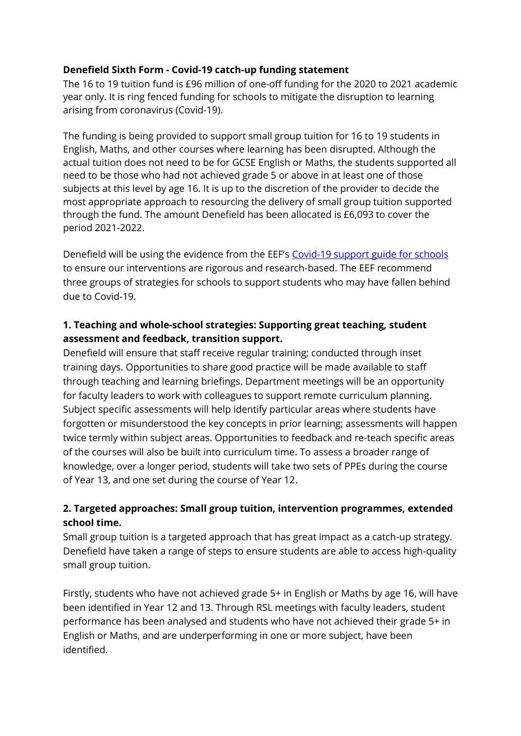## **Denefield Sixth Form - Covid-19 catch-up funding statement**

The 16 to 19 tuition fund is £96 million of one-off funding for the 2020 to 2021 academic year only. It is ring fenced funding for schools to mitigate the disruption to learning arising from coronavirus (Covid-19).

The funding is being provided to support small group tuition for 16 to 19 students in English, Maths, and other courses where learning has been disrupted. Although the actual tuition does not need to be for GCSE English or Maths, the students supported all need to be those who had not achieved grade 5 or above in at least one of those subjects at this level by age 16. It is up to the discretion of the provider to decide the most appropriate approach to resourcing the delivery of small group tuition supported through the fund. The amount Denefield has been allocated is £6,093 to cover the period 2021-2022.

Denefield will be using the evidence from the EEF's [Covid-19 support guide for schools](https://educationendowmentfoundation.org.uk/covid-19-resources/guide-to-supporting-schools-planning/) to ensure our interventions are rigorous and research-based. The EEF recommend three groups of strategies for schools to support students who may have fallen behind due to Covid-19.

## **1. Teaching and whole-school strategies: Supporting great teaching, student assessment and feedback, transition support.**

Denefield will ensure that staff receive regular training; conducted through inset training days. Opportunities to share good practice will be made available to staff through teaching and learning briefings. Department meetings will be an opportunity for faculty leaders to work with colleagues to support remote curriculum planning. Subject specific assessments will help identify particular areas where students have forgotten or misunderstood the key concepts in prior learning; assessments will happen twice termly within subject areas. Opportunities to feedback and re-teach specific areas of the courses will also be built into curriculum time. To assess a broader range of knowledge, over a longer period, students will take two sets of PPEs during the course of Year 13, and one set during the course of Year 12.

## **2. Targeted approaches: Small group tuition, intervention programmes, extended school time.**

Small group tuition is a targeted approach that has great impact as a catch-up strategy. Denefield have taken a range of steps to ensure students are able to access high-quality small group tuition.

Firstly, students who have not achieved grade 5+ in English or Maths by age 16, will have been identified in Year 12 and 13. Through RSL meetings with faculty leaders, student performance has been analysed and students who have not achieved their grade 5+ in English or Maths, and are underperforming in one or more subject, have been identified.